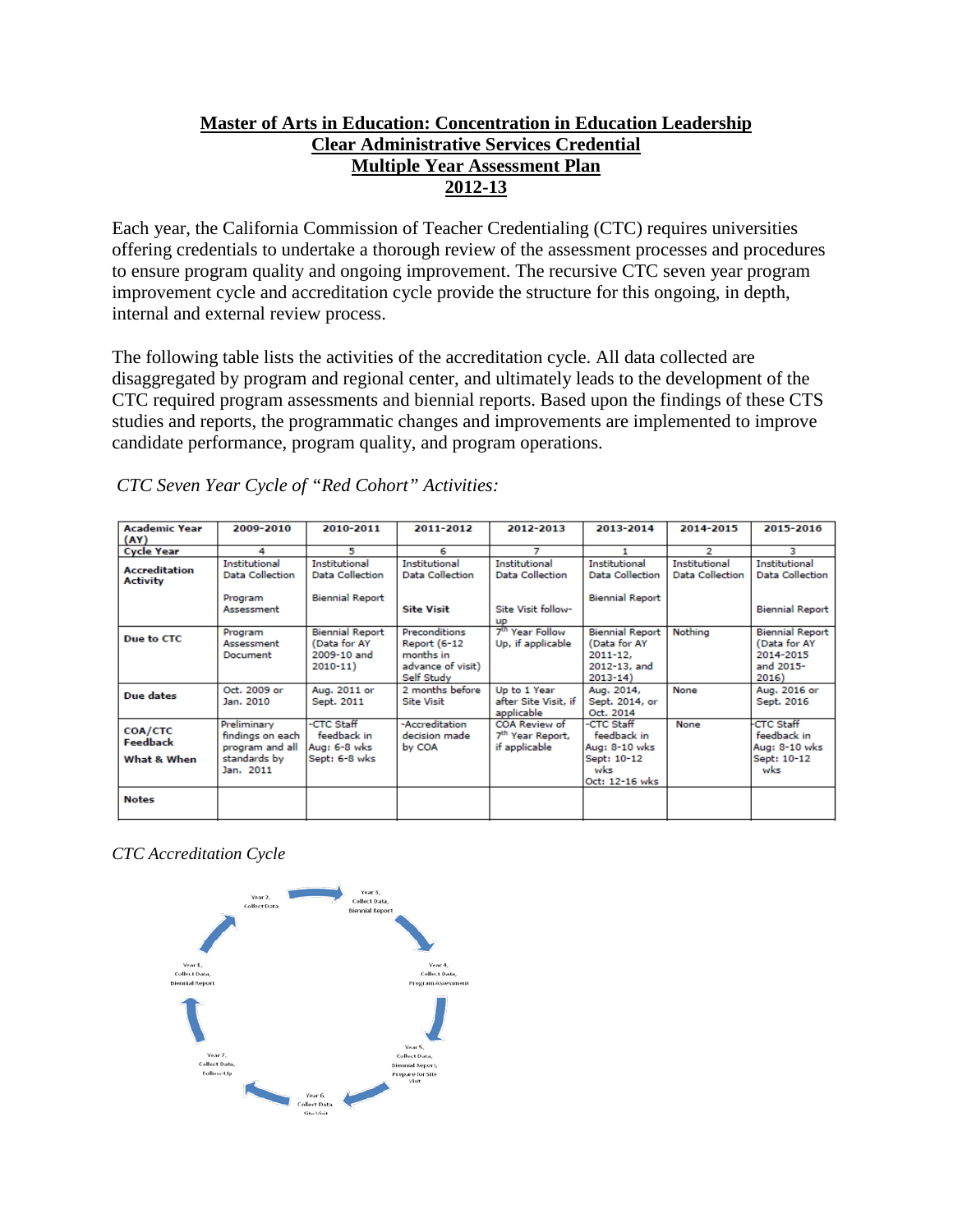### **Master of Arts in Education: Concentration in Education Leadership Clear Administrative Services Credential Multiple Year Assessment Plan 2012-13**

Each year, the California Commission of Teacher Credentialing (CTC) requires universities offering credentials to undertake a thorough review of the assessment processes and procedures to ensure program quality and ongoing improvement. The recursive CTC seven year program improvement cycle and accreditation cycle provide the structure for this ongoing, in depth, internal and external review process.

The following table lists the activities of the accreditation cycle. All data collected are disaggregated by program and regional center, and ultimately leads to the development of the CTC required program assessments and biennial reports. Based upon the findings of these CTS studies and reports, the programmatic changes and improvements are implemented to improve candidate performance, program quality, and program operations.

| <b>Academic Year</b><br>(AY)            | 2009-2010                                                                       | 2010-2011                                                                | 2011-2012                                                                                   | 2012-2013                                                                         | 2013-2014                                                                             | 2014-2015                                      | 2015-2016                                                                 |
|-----------------------------------------|---------------------------------------------------------------------------------|--------------------------------------------------------------------------|---------------------------------------------------------------------------------------------|-----------------------------------------------------------------------------------|---------------------------------------------------------------------------------------|------------------------------------------------|---------------------------------------------------------------------------|
| <b>Cycle Year</b>                       | 4                                                                               | 5                                                                        | 6                                                                                           | 7                                                                                 |                                                                                       | 2                                              | з                                                                         |
| <b>Accreditation</b><br><b>Activity</b> | Institutional<br><b>Data Collection</b><br>Program<br>Assessment                | <b>Institutional</b><br><b>Data Collection</b><br><b>Biennial Report</b> | <b>Institutional</b><br><b>Data Collection</b><br><b>Site Visit</b>                         | <b>Institutional</b><br><b>Data Collection</b><br>Site Visit follow-<br><b>UD</b> | <b>Institutional</b><br>Data Collection<br><b>Biennial Report</b>                     | <b>Institutional</b><br><b>Data Collection</b> | Institutional<br><b>Data Collection</b><br><b>Biennial Report</b>         |
| Due to CTC                              | Program<br>Assessment<br>Document                                               | <b>Biennial Report</b><br>(Data for AY)<br>2009-10 and<br>$2010 - 11$    | <b>Preconditions</b><br><b>Report (6-12</b><br>months in<br>advance of visit)<br>Self Study | 7 <sup>th</sup> Year Follow<br>Up, if applicable                                  | <b>Biennial Report</b><br>(Data for AY<br>$2011 - 12.$<br>2012-13, and<br>$2013 - 14$ | Nothing                                        | <b>Biennial Report</b><br>(Data for AY<br>2014-2015<br>and 2015-<br>2016) |
| Due dates                               | Oct. 2009 or<br>Jan. 2010                                                       | Aug. 2011 or<br>Sept. 2011                                               | 2 months before<br><b>Site Visit</b>                                                        | Up to 1 Year<br>after Site Visit, if<br>applicable                                | Aug. 2014,<br>Sept. 2014, or<br>Oct. 2014                                             | None                                           | Aug. 2016 or<br>Sept. 2016                                                |
| COA/CTC<br>Feedback<br>What & When      | Preliminary<br>findings on each<br>program and all<br>standards by<br>Jan. 2011 | -CTC Staff<br>feedback in<br>Aug: 6-8 wks<br>Sept: 6-8 wks               | -Accreditation<br>decision made<br>by COA                                                   | <b>COA Review of</b><br>7 <sup>th</sup> Year Report,<br>if applicable             | -CTC Staff<br>feedback in<br>Aug: 8-10 wks<br>Sept: 10-12<br>wks<br>Oct: 12-16 wks    | None                                           | <b>CTC Staff</b><br>feedback in<br>Aug: 8-10 wks<br>Sept: 10-12<br>wks    |
| <b>Notes</b>                            |                                                                                 |                                                                          |                                                                                             |                                                                                   |                                                                                       |                                                |                                                                           |

*CTC Seven Year Cycle of "Red Cohort" Activities:*

*CTC Accreditation Cycle*

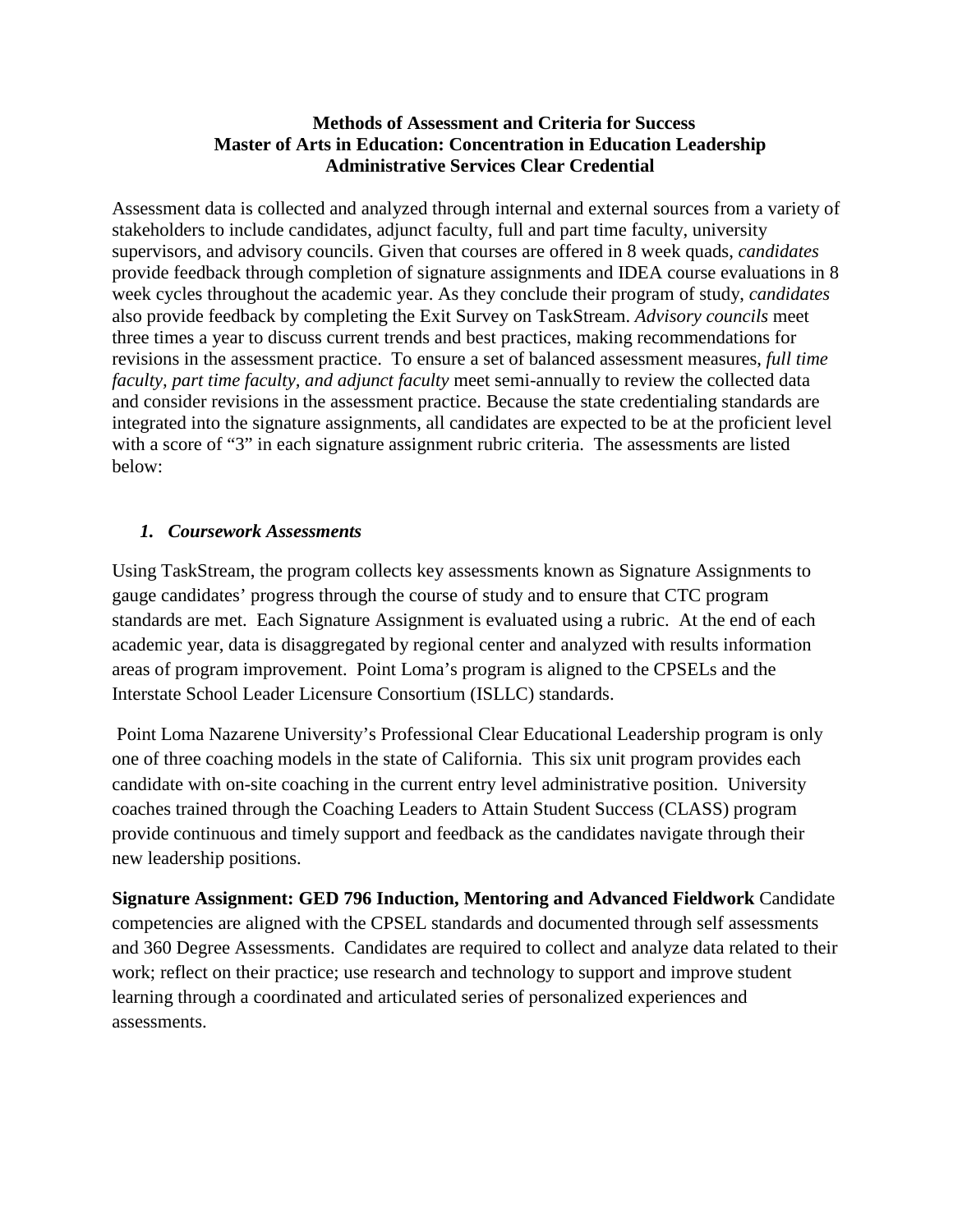#### **Methods of Assessment and Criteria for Success Master of Arts in Education: Concentration in Education Leadership Administrative Services Clear Credential**

Assessment data is collected and analyzed through internal and external sources from a variety of stakeholders to include candidates, adjunct faculty, full and part time faculty, university supervisors, and advisory councils. Given that courses are offered in 8 week quads, *candidates* provide feedback through completion of signature assignments and IDEA course evaluations in 8 week cycles throughout the academic year. As they conclude their program of study, *candidates* also provide feedback by completing the Exit Survey on TaskStream. *Advisory councils* meet three times a year to discuss current trends and best practices, making recommendations for revisions in the assessment practice. To ensure a set of balanced assessment measures, *full time faculty, part time faculty, and adjunct faculty* meet semi-annually to review the collected data and consider revisions in the assessment practice. Because the state credentialing standards are integrated into the signature assignments, all candidates are expected to be at the proficient level with a score of "3" in each signature assignment rubric criteria. The assessments are listed below:

# *1. Coursework Assessments*

Using TaskStream, the program collects key assessments known as Signature Assignments to gauge candidates' progress through the course of study and to ensure that CTC program standards are met. Each Signature Assignment is evaluated using a rubric. At the end of each academic year, data is disaggregated by regional center and analyzed with results information areas of program improvement. Point Loma's program is aligned to the CPSELs and the Interstate School Leader Licensure Consortium (ISLLC) standards.

Point Loma Nazarene University's Professional Clear Educational Leadership program is only one of three coaching models in the state of California. This six unit program provides each candidate with on-site coaching in the current entry level administrative position. University coaches trained through the Coaching Leaders to Attain Student Success (CLASS) program provide continuous and timely support and feedback as the candidates navigate through their new leadership positions.

**Signature Assignment: GED 796 Induction, Mentoring and Advanced Fieldwork** Candidate competencies are aligned with the CPSEL standards and documented through self assessments and 360 Degree Assessments. Candidates are required to collect and analyze data related to their work; reflect on their practice; use research and technology to support and improve student learning through a coordinated and articulated series of personalized experiences and assessments.